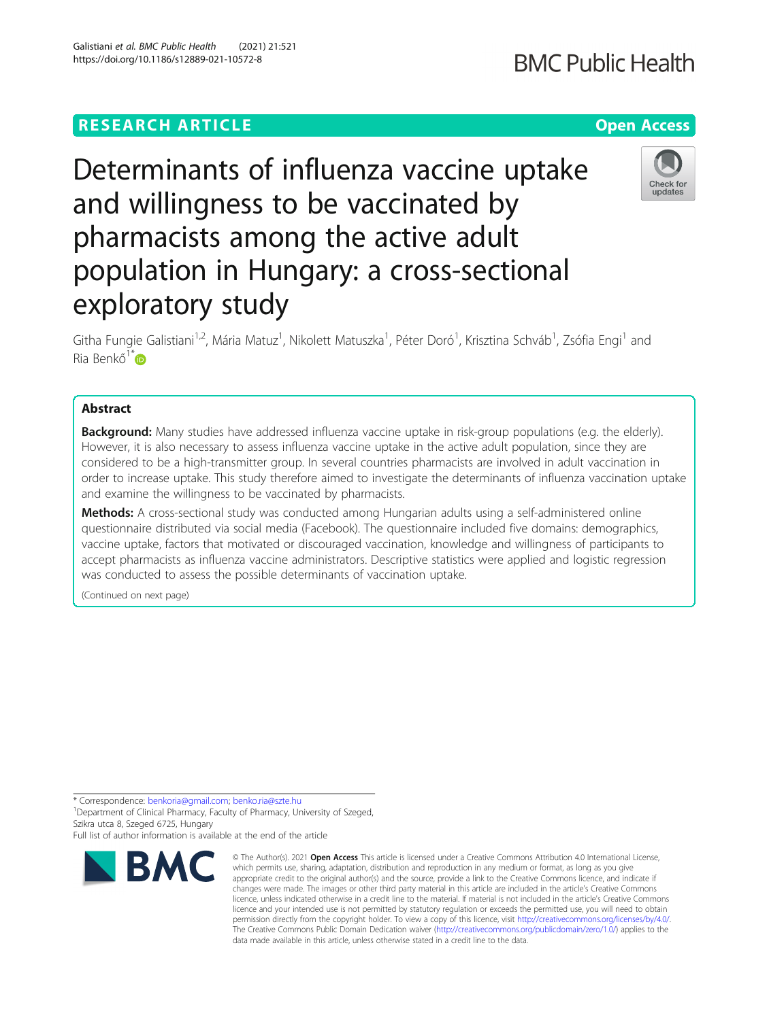## **RESEARCH ARTICLE Example 2014 12:30 The Contract of Contract ACCESS**

# Determinants of influenza vaccine uptake and willingness to be vaccinated by pharmacists among the active adult population in Hungary: a cross-sectional exploratory study

Githa Fungie Galistiani<sup>1,2</sup>, Mária Matuz<sup>1</sup>, Nikolett Matuszka<sup>1</sup>, Péter Doró<sup>1</sup>, Krisztina Schváb<sup>1</sup>, Zsófia Engi<sup>1</sup> and Ria Benkő $1^*$  $1^*$ D

## Abstract

**Background:** Many studies have addressed influenza vaccine uptake in risk-group populations (e.g. the elderly). However, it is also necessary to assess influenza vaccine uptake in the active adult population, since they are considered to be a high-transmitter group. In several countries pharmacists are involved in adult vaccination in order to increase uptake. This study therefore aimed to investigate the determinants of influenza vaccination uptake and examine the willingness to be vaccinated by pharmacists.

Methods: A cross-sectional study was conducted among Hungarian adults using a self-administered online questionnaire distributed via social media (Facebook). The questionnaire included five domains: demographics, vaccine uptake, factors that motivated or discouraged vaccination, knowledge and willingness of participants to accept pharmacists as influenza vaccine administrators. Descriptive statistics were applied and logistic regression was conducted to assess the possible determinants of vaccination uptake.

(Continued on next page)

\* Correspondence: [benkoria@gmail.com](mailto:benkoria@gmail.com); [benko.ria@szte.hu](mailto:benko.ria@szte.hu) <sup>1</sup>

<sup>1</sup> Department of Clinical Pharmacy, Faculty of Pharmacy, University of Szeged, Szikra utca 8, Szeged 6725, Hungary Full list of author information is available at the end of the article



Check for updates

<sup>©</sup> The Author(s), 2021 **Open Access** This article is licensed under a Creative Commons Attribution 4.0 International License, which permits use, sharing, adaptation, distribution and reproduction in any medium or format, as long as you give appropriate credit to the original author(s) and the source, provide a link to the Creative Commons licence, and indicate if changes were made. The images or other third party material in this article are included in the article's Creative Commons licence, unless indicated otherwise in a credit line to the material. If material is not included in the article's Creative Commons licence and your intended use is not permitted by statutory regulation or exceeds the permitted use, you will need to obtain permission directly from the copyright holder. To view a copy of this licence, visit [http://creativecommons.org/licenses/by/4.0/.](http://creativecommons.org/licenses/by/4.0/) The Creative Commons Public Domain Dedication waiver [\(http://creativecommons.org/publicdomain/zero/1.0/](http://creativecommons.org/publicdomain/zero/1.0/)) applies to the data made available in this article, unless otherwise stated in a credit line to the data.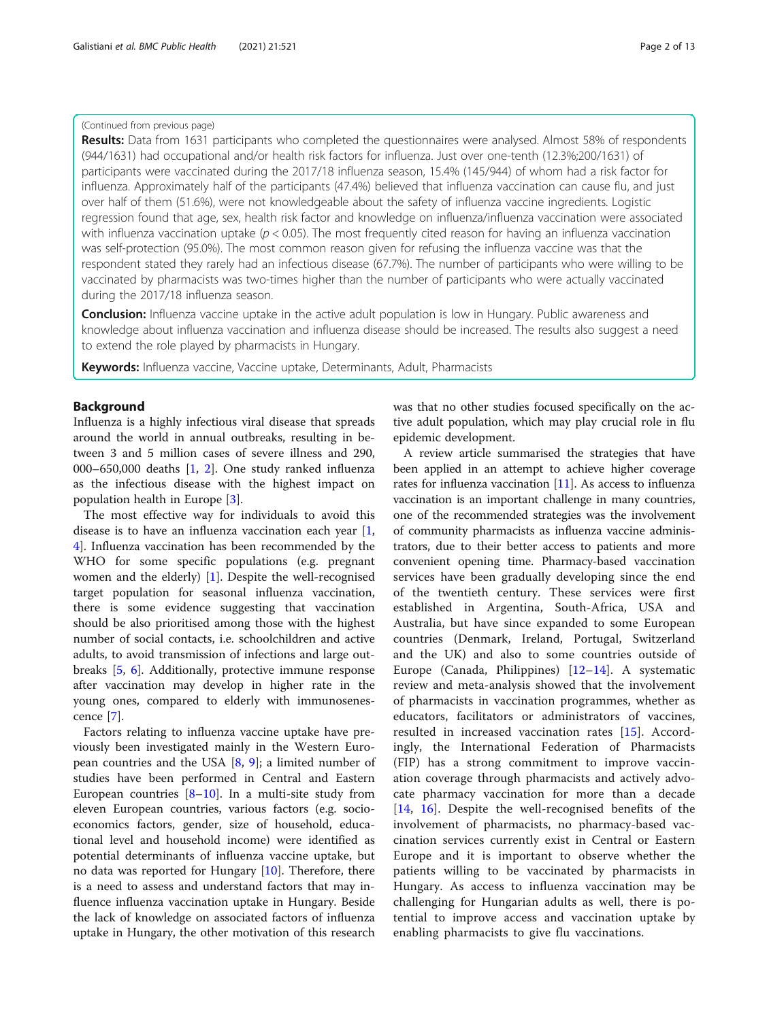## (Continued from previous page)

Results: Data from 1631 participants who completed the questionnaires were analysed. Almost 58% of respondents (944/1631) had occupational and/or health risk factors for influenza. Just over one-tenth (12.3%;200/1631) of participants were vaccinated during the 2017/18 influenza season, 15.4% (145/944) of whom had a risk factor for influenza. Approximately half of the participants (47.4%) believed that influenza vaccination can cause flu, and just over half of them (51.6%), were not knowledgeable about the safety of influenza vaccine ingredients. Logistic regression found that age, sex, health risk factor and knowledge on influenza/influenza vaccination were associated with influenza vaccination uptake ( $p < 0.05$ ). The most frequently cited reason for having an influenza vaccination was self-protection (95.0%). The most common reason given for refusing the influenza vaccine was that the respondent stated they rarely had an infectious disease (67.7%). The number of participants who were willing to be vaccinated by pharmacists was two-times higher than the number of participants who were actually vaccinated during the 2017/18 influenza season.

Conclusion: Influenza vaccine uptake in the active adult population is low in Hungary. Public awareness and knowledge about influenza vaccination and influenza disease should be increased. The results also suggest a need to extend the role played by pharmacists in Hungary.

Keywords: Influenza vaccine, Vaccine uptake, Determinants, Adult, Pharmacists

#### Background

Influenza is a highly infectious viral disease that spreads around the world in annual outbreaks, resulting in between 3 and 5 million cases of severe illness and 290, 000–650,000 deaths [\[1,](#page-11-0) [2](#page-11-0)]. One study ranked influenza as the infectious disease with the highest impact on population health in Europe [\[3](#page-11-0)].

The most effective way for individuals to avoid this disease is to have an influenza vaccination each year [\[1](#page-11-0), [4\]](#page-11-0). Influenza vaccination has been recommended by the WHO for some specific populations (e.g. pregnant women and the elderly) [\[1](#page-11-0)]. Despite the well-recognised target population for seasonal influenza vaccination, there is some evidence suggesting that vaccination should be also prioritised among those with the highest number of social contacts, i.e. schoolchildren and active adults, to avoid transmission of infections and large outbreaks [\[5](#page-11-0), [6](#page-11-0)]. Additionally, protective immune response after vaccination may develop in higher rate in the young ones, compared to elderly with immunosenescence [[7\]](#page-11-0).

Factors relating to influenza vaccine uptake have previously been investigated mainly in the Western European countries and the USA [\[8](#page-11-0), [9\]](#page-11-0); a limited number of studies have been performed in Central and Eastern European countries [\[8](#page-11-0)–[10](#page-11-0)]. In a multi-site study from eleven European countries, various factors (e.g. socioeconomics factors, gender, size of household, educational level and household income) were identified as potential determinants of influenza vaccine uptake, but no data was reported for Hungary [\[10\]](#page-11-0). Therefore, there is a need to assess and understand factors that may influence influenza vaccination uptake in Hungary. Beside the lack of knowledge on associated factors of influenza uptake in Hungary, the other motivation of this research

was that no other studies focused specifically on the active adult population, which may play crucial role in flu epidemic development.

A review article summarised the strategies that have been applied in an attempt to achieve higher coverage rates for influenza vaccination  $[11]$ . As access to influenza vaccination is an important challenge in many countries, one of the recommended strategies was the involvement of community pharmacists as influenza vaccine administrators, due to their better access to patients and more convenient opening time. Pharmacy-based vaccination services have been gradually developing since the end of the twentieth century. These services were first established in Argentina, South-Africa, USA and Australia, but have since expanded to some European countries (Denmark, Ireland, Portugal, Switzerland and the UK) and also to some countries outside of Europe (Canada, Philippines) [[12](#page-11-0)–[14\]](#page-11-0). A systematic review and meta-analysis showed that the involvement of pharmacists in vaccination programmes, whether as educators, facilitators or administrators of vaccines, resulted in increased vaccination rates [[15\]](#page-11-0). Accordingly, the International Federation of Pharmacists (FIP) has a strong commitment to improve vaccination coverage through pharmacists and actively advocate pharmacy vaccination for more than a decade [[14,](#page-11-0) [16\]](#page-11-0). Despite the well-recognised benefits of the involvement of pharmacists, no pharmacy-based vaccination services currently exist in Central or Eastern Europe and it is important to observe whether the patients willing to be vaccinated by pharmacists in Hungary. As access to influenza vaccination may be challenging for Hungarian adults as well, there is potential to improve access and vaccination uptake by enabling pharmacists to give flu vaccinations.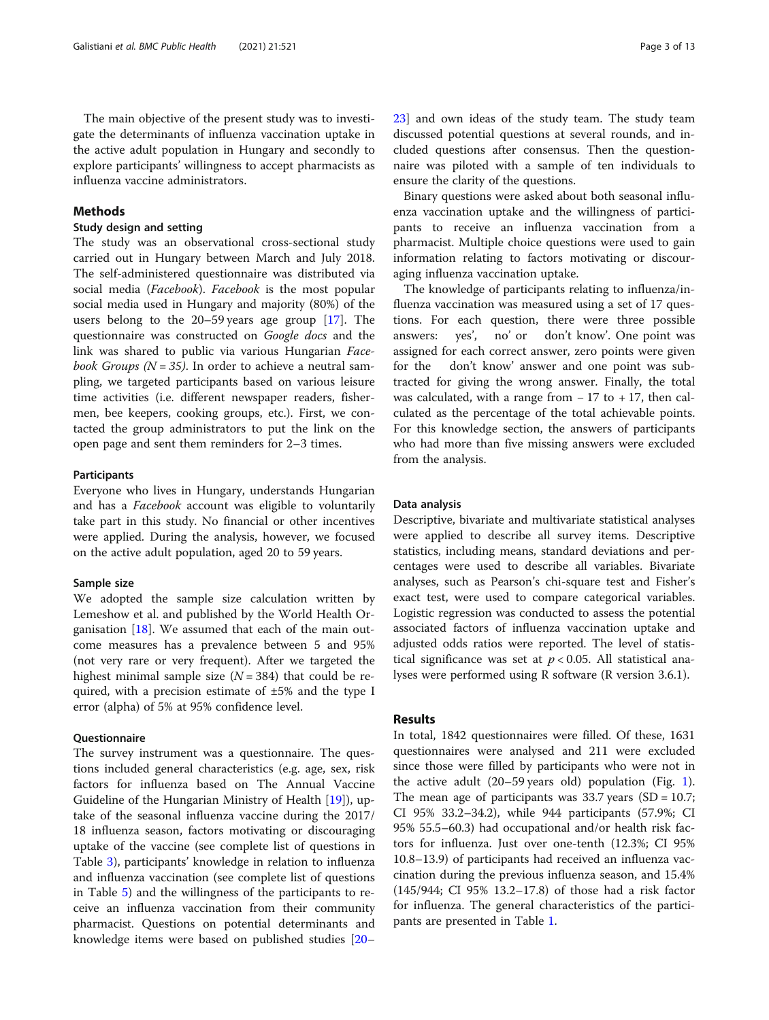### Methods

#### Study design and setting

The study was an observational cross-sectional study carried out in Hungary between March and July 2018. The self-administered questionnaire was distributed via social media (Facebook). Facebook is the most popular social media used in Hungary and majority (80%) of the users belong to the 20–59 years age group [[17](#page-11-0)]. The questionnaire was constructed on Google docs and the link was shared to public via various Hungarian Facebook Groups ( $N = 35$ ). In order to achieve a neutral sampling, we targeted participants based on various leisure time activities (i.e. different newspaper readers, fishermen, bee keepers, cooking groups, etc.). First, we contacted the group administrators to put the link on the open page and sent them reminders for 2–3 times.

#### Participants

Everyone who lives in Hungary, understands Hungarian and has a Facebook account was eligible to voluntarily take part in this study. No financial or other incentives were applied. During the analysis, however, we focused on the active adult population, aged 20 to 59 years.

#### Sample size

We adopted the sample size calculation written by Lemeshow et al. and published by the World Health Organisation [[18\]](#page-11-0). We assumed that each of the main outcome measures has a prevalence between 5 and 95% (not very rare or very frequent). After we targeted the highest minimal sample size  $(N = 384)$  that could be required, with a precision estimate of  $\pm 5\%$  and the type I error (alpha) of 5% at 95% confidence level.

## **Questionnaire**

The survey instrument was a questionnaire. The questions included general characteristics (e.g. age, sex, risk factors for influenza based on The Annual Vaccine Guideline of the Hungarian Ministry of Health [\[19\]](#page-11-0)), uptake of the seasonal influenza vaccine during the 2017/ 18 influenza season, factors motivating or discouraging uptake of the vaccine (see complete list of questions in Table [3\)](#page-5-0), participants' knowledge in relation to influenza and influenza vaccination (see complete list of questions in Table [5](#page-7-0)) and the willingness of the participants to receive an influenza vaccination from their community pharmacist. Questions on potential determinants and knowledge items were based on published studies [[20](#page-11-0)–

[23\]](#page-11-0) and own ideas of the study team. The study team discussed potential questions at several rounds, and included questions after consensus. Then the questionnaire was piloted with a sample of ten individuals to ensure the clarity of the questions.

Binary questions were asked about both seasonal influenza vaccination uptake and the willingness of participants to receive an influenza vaccination from a pharmacist. Multiple choice questions were used to gain information relating to factors motivating or discouraging influenza vaccination uptake.

The knowledge of participants relating to influenza/influenza vaccination was measured using a set of 17 questions. For each question, there were three possible answers: yes', no' or don't know'. One point was assigned for each correct answer, zero points were given for the don't know' answer and one point was subtracted for giving the wrong answer. Finally, the total was calculated, with a range from  $-17$  to  $+17$ , then calculated as the percentage of the total achievable points. For this knowledge section, the answers of participants who had more than five missing answers were excluded from the analysis.

#### Data analysis

Descriptive, bivariate and multivariate statistical analyses were applied to describe all survey items. Descriptive statistics, including means, standard deviations and percentages were used to describe all variables. Bivariate analyses, such as Pearson's chi-square test and Fisher's exact test, were used to compare categorical variables. Logistic regression was conducted to assess the potential associated factors of influenza vaccination uptake and adjusted odds ratios were reported. The level of statistical significance was set at  $p < 0.05$ . All statistical analyses were performed using R software (R version 3.6.1).

## Results

In total, 1842 questionnaires were filled. Of these, 1631 questionnaires were analysed and 211 were excluded since those were filled by participants who were not in the active adult (20–59 years old) population (Fig. [1](#page-3-0)). The mean age of participants was 33.7 years  $(SD = 10.7;$ CI 95% 33.2–34.2), while 944 participants (57.9%; CI 95% 55.5–60.3) had occupational and/or health risk factors for influenza. Just over one-tenth (12.3%; CI 95% 10.8–13.9) of participants had received an influenza vaccination during the previous influenza season, and 15.4% (145/944; CI 95% 13.2–17.8) of those had a risk factor for influenza. The general characteristics of the participants are presented in Table [1](#page-4-0).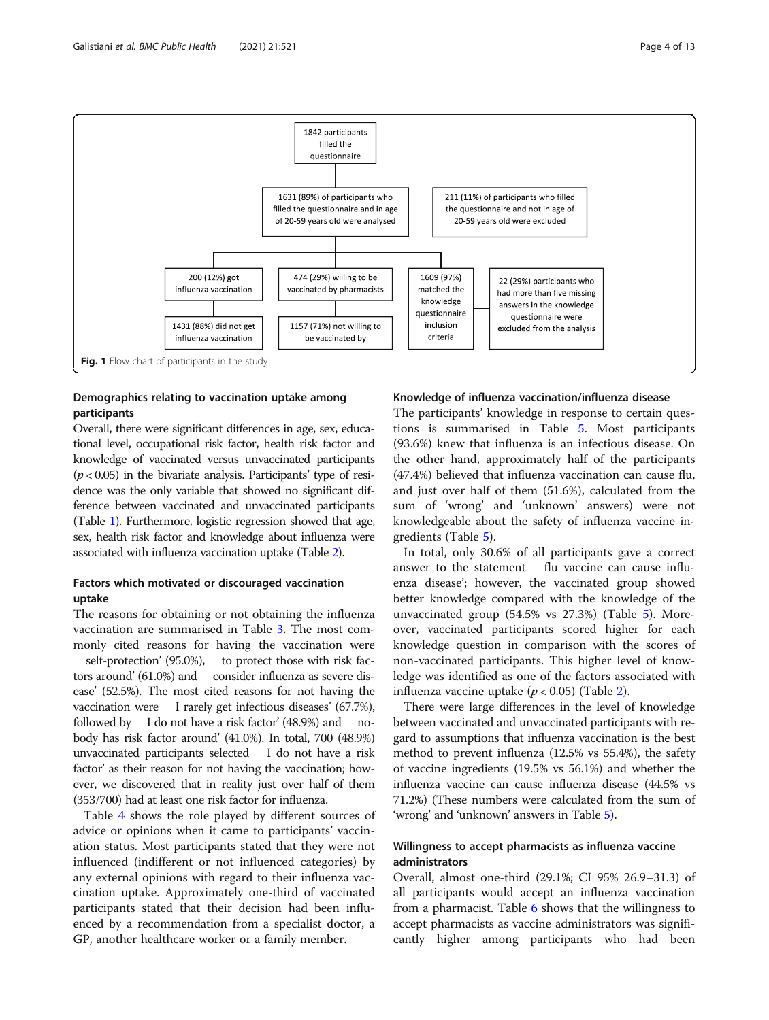<span id="page-3-0"></span>

## Demographics relating to vaccination uptake among participants

Overall, there were significant differences in age, sex, educational level, occupational risk factor, health risk factor and knowledge of vaccinated versus unvaccinated participants  $(p < 0.05)$  in the bivariate analysis. Participants' type of residence was the only variable that showed no significant difference between vaccinated and unvaccinated participants (Table [1](#page-4-0)). Furthermore, logistic regression showed that age, sex, health risk factor and knowledge about influenza were associated with influenza vaccination uptake (Table [2\)](#page-4-0).

## Factors which motivated or discouraged vaccination uptake

The reasons for obtaining or not obtaining the influenza vaccination are summarised in Table [3](#page-5-0). The most commonly cited reasons for having the vaccination were self-protection' (95.0%), to protect those with risk factors around' (61.0%) and consider influenza as severe disease' (52.5%). The most cited reasons for not having the vaccination were I rarely get infectious diseases' (67.7%), followed by I do not have a risk factor' (48.9%) and nobody has risk factor around' (41.0%). In total, 700 (48.9%) unvaccinated participants selected I do not have a risk factor' as their reason for not having the vaccination; however, we discovered that in reality just over half of them (353/700) had at least one risk factor for influenza.

Table [4](#page-6-0) shows the role played by different sources of advice or opinions when it came to participants' vaccination status. Most participants stated that they were not influenced (indifferent or not influenced categories) by any external opinions with regard to their influenza vaccination uptake. Approximately one-third of vaccinated participants stated that their decision had been influenced by a recommendation from a specialist doctor, a GP, another healthcare worker or a family member.

#### Knowledge of influenza vaccination/influenza disease

The participants' knowledge in response to certain questions is summarised in Table [5.](#page-7-0) Most participants (93.6%) knew that influenza is an infectious disease. On the other hand, approximately half of the participants (47.4%) believed that influenza vaccination can cause flu, and just over half of them (51.6%), calculated from the sum of 'wrong' and 'unknown' answers) were not knowledgeable about the safety of influenza vaccine ingredients (Table [5\)](#page-7-0).

In total, only 30.6% of all participants gave a correct answer to the statement flu vaccine can cause influenza disease'; however, the vaccinated group showed better knowledge compared with the knowledge of the unvaccinated group (54.5% vs 27.3%) (Table [5\)](#page-7-0). Moreover, vaccinated participants scored higher for each knowledge question in comparison with the scores of non-vaccinated participants. This higher level of knowledge was identified as one of the factors associated with influenza vaccine uptake ( $p < 0.05$ ) (Table [2\)](#page-4-0).

There were large differences in the level of knowledge between vaccinated and unvaccinated participants with regard to assumptions that influenza vaccination is the best method to prevent influenza (12.5% vs 55.4%), the safety of vaccine ingredients (19.5% vs 56.1%) and whether the influenza vaccine can cause influenza disease (44.5% vs 71.2%) (These numbers were calculated from the sum of 'wrong' and 'unknown' answers in Table [5\)](#page-7-0).

## Willingness to accept pharmacists as influenza vaccine administrators

Overall, almost one-third (29.1%; CI 95% 26.9–31.3) of all participants would accept an influenza vaccination from a pharmacist. Table [6](#page-9-0) shows that the willingness to accept pharmacists as vaccine administrators was significantly higher among participants who had been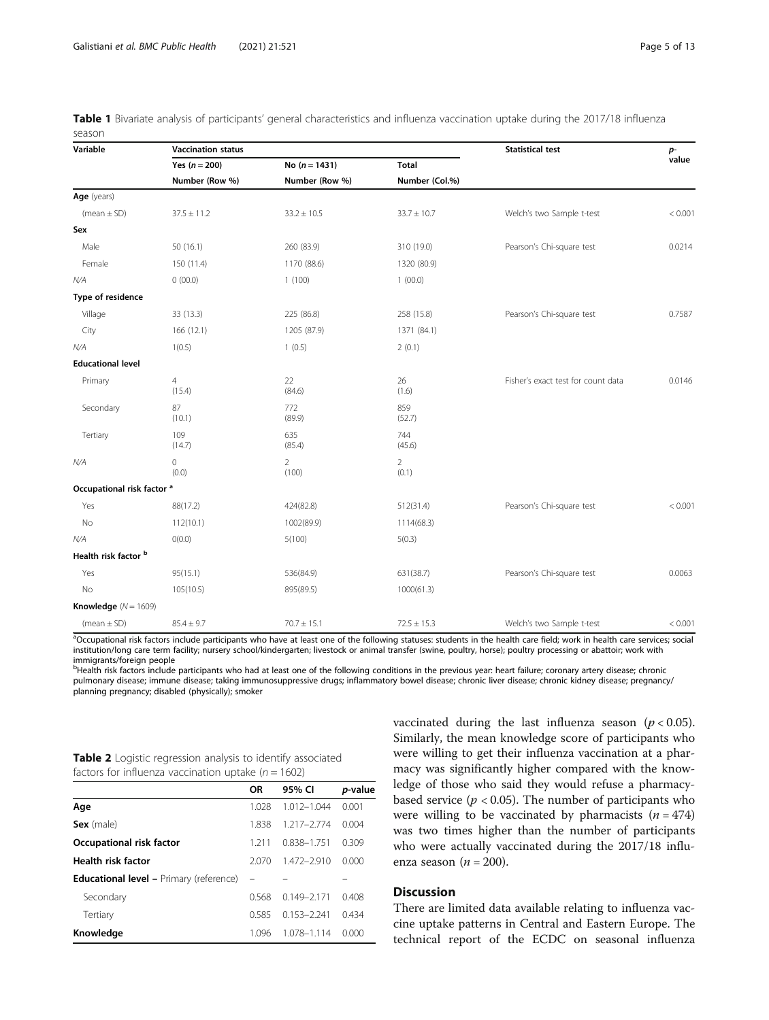| Variable                              | <b>Vaccination status</b> |                         |                         | <b>Statistical test</b>            | p-      |
|---------------------------------------|---------------------------|-------------------------|-------------------------|------------------------------------|---------|
|                                       | Yes $(n = 200)$           | No $(n = 1431)$         | <b>Total</b>            |                                    | value   |
|                                       | Number (Row %)            | Number (Row %)          | Number (Col.%)          |                                    |         |
| Age (years)                           |                           |                         |                         |                                    |         |
| $(mean \pm SD)$                       | $37.5 \pm 11.2$           | $33.2 \pm 10.5$         | $33.7 \pm 10.7$         | Welch's two Sample t-test          | < 0.001 |
| Sex                                   |                           |                         |                         |                                    |         |
| Male                                  | 50(16.1)                  | 260 (83.9)              | 310 (19.0)              | Pearson's Chi-square test          | 0.0214  |
| Female                                | 150 (11.4)                | 1170 (88.6)             | 1320 (80.9)             |                                    |         |
| N/A                                   | 0(00.0)                   | 1(100)                  | 1(00.0)                 |                                    |         |
| Type of residence                     |                           |                         |                         |                                    |         |
| Village                               | 33 (13.3)                 | 225 (86.8)              | 258 (15.8)              | Pearson's Chi-square test          | 0.7587  |
| City                                  | 166 (12.1)                | 1205 (87.9)             | 1371 (84.1)             |                                    |         |
| N/A                                   | 1(0.5)                    | 1(0.5)                  | 2(0.1)                  |                                    |         |
| <b>Educational level</b>              |                           |                         |                         |                                    |         |
| Primary                               | $\overline{4}$<br>(15.4)  | 22<br>(84.6)            | 26<br>(1.6)             | Fisher's exact test for count data | 0.0146  |
| Secondary                             | 87<br>(10.1)              | 772<br>(89.9)           | 859<br>(52.7)           |                                    |         |
| Tertiary                              | 109<br>(14.7)             | 635<br>(85.4)           | 744<br>(45.6)           |                                    |         |
| N/A                                   | 0<br>(0.0)                | $\overline{2}$<br>(100) | $\overline{2}$<br>(0.1) |                                    |         |
| Occupational risk factor <sup>a</sup> |                           |                         |                         |                                    |         |
| Yes                                   | 88(17.2)                  | 424(82.8)               | 512(31.4)               | Pearson's Chi-square test          | < 0.001 |
| No                                    | 112(10.1)                 | 1002(89.9)              | 1114(68.3)              |                                    |         |
| N/A                                   | O(0.0)                    | 5(100)                  | 5(0.3)                  |                                    |         |
| Health risk factor b                  |                           |                         |                         |                                    |         |
| Yes                                   | 95(15.1)                  | 536(84.9)               | 631(38.7)               | Pearson's Chi-square test          | 0.0063  |
| No                                    | 105(10.5)                 | 895(89.5)               | 1000(61.3)              |                                    |         |
| Knowledge $(N = 1609)$                |                           |                         |                         |                                    |         |
| (mean $\pm$ SD)                       | $85.4 \pm 9.7$            | $70.7 \pm 15.1$         | $72.5 \pm 15.3$         | Welch's two Sample t-test          | < 0.001 |

<span id="page-4-0"></span>Table 1 Bivariate analysis of participants' general characteristics and influenza vaccination uptake during the 2017/18 influenza season

<sup>a</sup>Occupational risk factors include participants who have at least one of the following statuses: students in the health care field; work in health care services; social institution/long care term facility; nursery school/kindergarten; livestock or animal transfer (swine, poultry, horse); poultry processing or abattoir; work with immigrants/foreign people

bHealth risk factors include participants who had at least one of the following conditions in the previous year: heart failure; coronary artery disease; chronic pulmonary disease; immune disease; taking immunosuppressive drugs; inflammatory bowel disease; chronic liver disease; chronic kidney disease; pregnancy/ planning pregnancy; disabled (physically); smoker

|  | Table 2 Logistic regression analysis to identify associated |  |  |  |
|--|-------------------------------------------------------------|--|--|--|
|  | factors for influenza vaccination uptake ( $n = 1602$ )     |  |  |  |

| ractors for minacriza vacchiation aptaile (n   |                   |                 |         |
|------------------------------------------------|-------------------|-----------------|---------|
|                                                | <b>OR</b>         | 95% CI          | p-value |
| Age                                            | 1.028             | $1.012 - 1.044$ | 0.001   |
| Sex (male)                                     | 1.838             | 1.217-2.774     | 0.004   |
| Occupational risk factor                       | 1.211             | 0.838-1.751     | 0.309   |
| <b>Health risk factor</b>                      | 2.070             | 1.472-2.910     | 0.000   |
| <b>Educational level - Primary (reference)</b> | $\qquad \qquad -$ |                 |         |
| Secondary                                      | 0.568             | $0.149 - 2.171$ | 0.408   |
| Tertiary                                       | 0.585             | $0.153 - 2.241$ | 0.434   |
| Knowledge                                      | 1.096             | 1.078-1.114     | 0.000   |

vaccinated during the last influenza season  $(p < 0.05)$ . Similarly, the mean knowledge score of participants who were willing to get their influenza vaccination at a pharmacy was significantly higher compared with the knowledge of those who said they would refuse a pharmacybased service ( $p < 0.05$ ). The number of participants who were willing to be vaccinated by pharmacists  $(n = 474)$ was two times higher than the number of participants who were actually vaccinated during the 2017/18 influenza season ( $n = 200$ ).

## **Discussion**

There are limited data available relating to influenza vaccine uptake patterns in Central and Eastern Europe. The technical report of the ECDC on seasonal influenza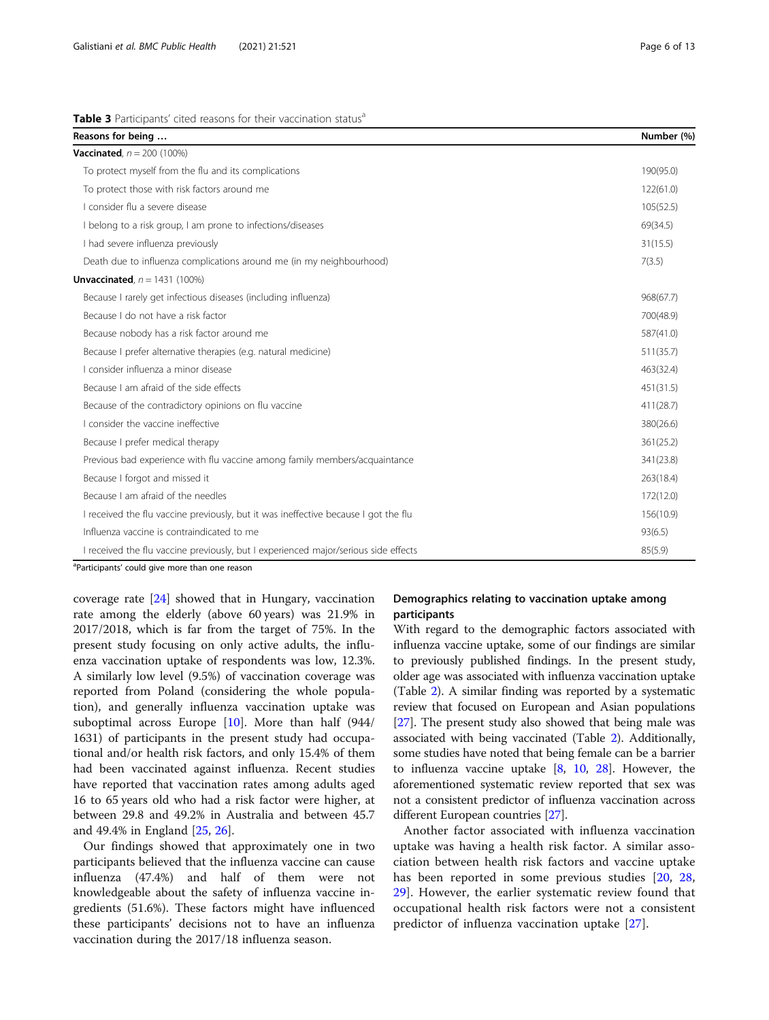<span id="page-5-0"></span>

| Reasons for being                                                                   | Number (%) |
|-------------------------------------------------------------------------------------|------------|
| <b>Vaccinated.</b> $n = 200 (100\%)$                                                |            |
| To protect myself from the flu and its complications                                | 190(95.0)  |
| To protect those with risk factors around me                                        | 122(61.0)  |
| I consider flu a severe disease                                                     | 105(52.5)  |
| I belong to a risk group, I am prone to infections/diseases                         | 69(34.5)   |
| I had severe influenza previously                                                   | 31(15.5)   |
| Death due to influenza complications around me (in my neighbourhood)                | 7(3.5)     |
| <b>Unvaccinated</b> , $n = 1431 (100\%)$                                            |            |
| Because I rarely get infectious diseases (including influenza)                      | 968(67.7)  |
| Because I do not have a risk factor                                                 | 700(48.9)  |
| Because nobody has a risk factor around me                                          | 587(41.0)  |
| Because I prefer alternative therapies (e.g. natural medicine)                      | 511(35.7)  |
| Lconsider influenza a minor disease                                                 | 463(32.4)  |
| Because Lam afraid of the side effects                                              | 451(31.5)  |
| Because of the contradictory opinions on flu vaccine                                | 411(28.7)  |
| I consider the vaccine ineffective                                                  | 380(26.6)  |
| Because I prefer medical therapy                                                    | 361(25.2)  |
| Previous bad experience with flu vaccine among family members/acquaintance          | 341(23.8)  |
| Because I forgot and missed it                                                      | 263(18.4)  |
| Because Lam afraid of the needles                                                   | 172(12.0)  |
| I received the flu vaccine previously, but it was ineffective because I got the flu | 156(10.9)  |
| Influenza vaccine is contraindicated to me                                          | 93(6.5)    |
| I received the flu vaccine previously, but I experienced major/serious side effects | 85(5.9)    |

<sup>a</sup>Participants' could give more than one reason

coverage rate [\[24\]](#page-11-0) showed that in Hungary, vaccination rate among the elderly (above 60 years) was 21.9% in 2017/2018, which is far from the target of 75%. In the present study focusing on only active adults, the influenza vaccination uptake of respondents was low, 12.3%. A similarly low level (9.5%) of vaccination coverage was reported from Poland (considering the whole population), and generally influenza vaccination uptake was suboptimal across Europe  $[10]$  $[10]$ . More than half  $(944)$ 1631) of participants in the present study had occupational and/or health risk factors, and only 15.4% of them had been vaccinated against influenza. Recent studies have reported that vaccination rates among adults aged 16 to 65 years old who had a risk factor were higher, at between 29.8 and 49.2% in Australia and between 45.7 and 49.4% in England [[25](#page-11-0), [26](#page-11-0)].

Our findings showed that approximately one in two participants believed that the influenza vaccine can cause influenza (47.4%) and half of them were not knowledgeable about the safety of influenza vaccine ingredients (51.6%). These factors might have influenced these participants' decisions not to have an influenza vaccination during the 2017/18 influenza season.

## Demographics relating to vaccination uptake among participants

With regard to the demographic factors associated with influenza vaccine uptake, some of our findings are similar to previously published findings. In the present study, older age was associated with influenza vaccination uptake (Table [2\)](#page-4-0). A similar finding was reported by a systematic review that focused on European and Asian populations [[27](#page-11-0)]. The present study also showed that being male was associated with being vaccinated (Table [2](#page-4-0)). Additionally, some studies have noted that being female can be a barrier to influenza vaccine uptake  $[8, 10, 28]$  $[8, 10, 28]$  $[8, 10, 28]$  $[8, 10, 28]$  $[8, 10, 28]$  $[8, 10, 28]$  $[8, 10, 28]$ . However, the aforementioned systematic review reported that sex was not a consistent predictor of influenza vaccination across different European countries [[27](#page-11-0)].

Another factor associated with influenza vaccination uptake was having a health risk factor. A similar association between health risk factors and vaccine uptake has been reported in some previous studies [[20,](#page-11-0) [28](#page-11-0), [29\]](#page-12-0). However, the earlier systematic review found that occupational health risk factors were not a consistent predictor of influenza vaccination uptake [\[27](#page-11-0)].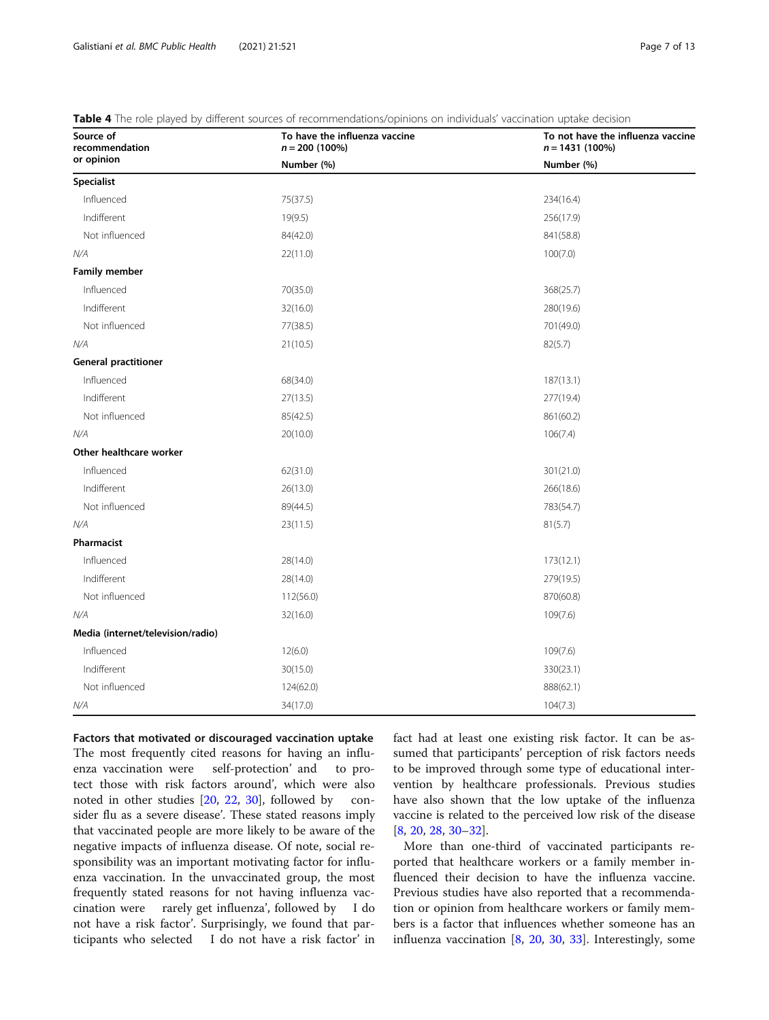| Source of<br>recommendation       | To have the influenza vaccine<br>$n = 200$ (100%) | To not have the influenza vaccine<br>$n = 1431(100\%)$ |
|-----------------------------------|---------------------------------------------------|--------------------------------------------------------|
| or opinion                        | Number (%)                                        | Number (%)                                             |
| <b>Specialist</b>                 |                                                   |                                                        |
| Influenced                        | 75(37.5)                                          | 234(16.4)                                              |
| Indifferent                       | 19(9.5)                                           | 256(17.9)                                              |
| Not influenced                    | 84(42.0)                                          | 841(58.8)                                              |
| N/A                               | 22(11.0)                                          | 100(7.0)                                               |
| <b>Family member</b>              |                                                   |                                                        |
| Influenced                        | 70(35.0)                                          | 368(25.7)                                              |
| Indifferent                       | 32(16.0)                                          | 280(19.6)                                              |
| Not influenced                    | 77(38.5)                                          | 701(49.0)                                              |
| N/A                               | 21(10.5)                                          | 82(5.7)                                                |
| <b>General practitioner</b>       |                                                   |                                                        |
| Influenced                        | 68(34.0)                                          | 187(13.1)                                              |
| Indifferent                       | 27(13.5)                                          | 277(19.4)                                              |
| Not influenced                    | 85(42.5)                                          | 861(60.2)                                              |
| N/A                               | 20(10.0)                                          | 106(7.4)                                               |
| Other healthcare worker           |                                                   |                                                        |
| Influenced                        | 62(31.0)                                          | 301(21.0)                                              |
| Indifferent                       | 26(13.0)                                          | 266(18.6)                                              |
| Not influenced                    | 89(44.5)                                          | 783(54.7)                                              |
| N/A                               | 23(11.5)                                          | 81(5.7)                                                |
| Pharmacist                        |                                                   |                                                        |
| Influenced                        | 28(14.0)                                          | 173(12.1)                                              |
| Indifferent                       | 28(14.0)                                          | 279(19.5)                                              |
| Not influenced                    | 112(56.0)                                         | 870(60.8)                                              |
| N/A                               | 32(16.0)                                          | 109(7.6)                                               |
| Media (internet/television/radio) |                                                   |                                                        |
| Influenced                        | 12(6.0)                                           | 109(7.6)                                               |
| Indifferent                       | 30(15.0)                                          | 330(23.1)                                              |
| Not influenced                    | 124(62.0)                                         | 888(62.1)                                              |
| N/A                               | 34(17.0)                                          | 104(7.3)                                               |

<span id="page-6-0"></span>Table 4 The role played by different sources of recommendations/opinions on individuals' vaccination uptake decision

Factors that motivated or discouraged vaccination uptake The most frequently cited reasons for having an influenza vaccination were self-protection' and to protect those with risk factors around', which were also noted in other studies [[20,](#page-11-0) [22,](#page-11-0) [30](#page-12-0)], followed by consider flu as a severe disease'. These stated reasons imply that vaccinated people are more likely to be aware of the negative impacts of influenza disease. Of note, social responsibility was an important motivating factor for influenza vaccination. In the unvaccinated group, the most frequently stated reasons for not having influenza vaccination were rarely get influenza', followed by I do not have a risk factor'. Surprisingly, we found that participants who selected I do not have a risk factor' in fact had at least one existing risk factor. It can be assumed that participants' perception of risk factors needs to be improved through some type of educational intervention by healthcare professionals. Previous studies have also shown that the low uptake of the influenza vaccine is related to the perceived low risk of the disease [[8,](#page-11-0) [20,](#page-11-0) [28,](#page-11-0) [30](#page-12-0)–[32](#page-12-0)].

More than one-third of vaccinated participants reported that healthcare workers or a family member influenced their decision to have the influenza vaccine. Previous studies have also reported that a recommendation or opinion from healthcare workers or family members is a factor that influences whether someone has an influenza vaccination [[8,](#page-11-0) [20,](#page-11-0) [30](#page-12-0), [33](#page-12-0)]. Interestingly, some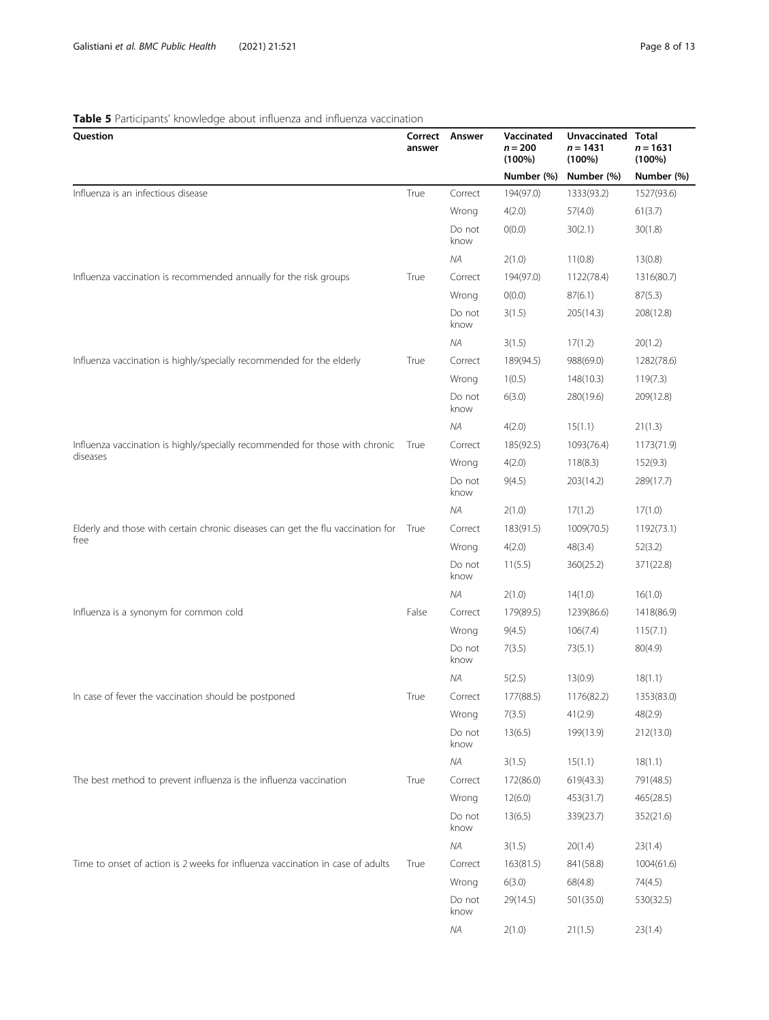## <span id="page-7-0"></span>Table 5 Participants' knowledge about influenza and influenza vaccination

| Question                                                                             | Correct<br>answer | Answer         | Vaccinated<br>$n = 200$<br>$(100\%)$ | Unvaccinated Total<br>$n = 1431$<br>$(100\%)$ | $n = 1631$<br>$(100\%)$ |
|--------------------------------------------------------------------------------------|-------------------|----------------|--------------------------------------|-----------------------------------------------|-------------------------|
|                                                                                      |                   |                | Number (%)                           | Number (%)                                    | Number (%)              |
| Influenza is an infectious disease                                                   | True              | Correct        | 194(97.0)                            | 1333(93.2)                                    | 1527(93.6)              |
|                                                                                      |                   | Wrong          | 4(2.0)                               | 57(4.0)                                       | 61(3.7)                 |
|                                                                                      |                   | Do not<br>know | O(0.0)                               | 30(2.1)                                       | 30(1.8)                 |
|                                                                                      |                   | NA             | 2(1.0)                               | 11(0.8)                                       | 13(0.8)                 |
| Influenza vaccination is recommended annually for the risk groups                    | True              | Correct        | 194(97.0)                            | 1122(78.4)                                    | 1316(80.7)              |
|                                                                                      |                   | Wrong          | O(0.0)                               | 87(6.1)                                       | 87(5.3)                 |
|                                                                                      |                   | Do not<br>know | 3(1.5)                               | 205(14.3)                                     | 208(12.8)               |
|                                                                                      |                   | ΝA             | 3(1.5)                               | 17(1.2)                                       | 20(1.2)                 |
| Influenza vaccination is highly/specially recommended for the elderly                | True              | Correct        | 189(94.5)                            | 988(69.0)                                     | 1282(78.6)              |
|                                                                                      |                   | Wrong          | 1(0.5)                               | 148(10.3)                                     | 119(7.3)                |
|                                                                                      |                   | Do not<br>know | 6(3.0)                               | 280(19.6)                                     | 209(12.8)               |
|                                                                                      |                   | <b>NA</b>      | 4(2.0)                               | 15(1.1)                                       | 21(1.3)                 |
| Influenza vaccination is highly/specially recommended for those with chronic         | True              | Correct        | 185(92.5)                            | 1093(76.4)                                    | 1173(71.9)              |
| diseases                                                                             |                   | Wrong          | 4(2.0)                               | 118(8.3)                                      | 152(9.3)                |
|                                                                                      |                   | Do not<br>know | 9(4.5)                               | 203(14.2)                                     | 289(17.7)               |
|                                                                                      |                   | <b>NA</b>      | 2(1.0)                               | 17(1.2)                                       | 17(1.0)                 |
| Elderly and those with certain chronic diseases can get the flu vaccination for True |                   | Correct        | 183(91.5)                            | 1009(70.5)                                    | 1192(73.1)              |
| free                                                                                 |                   | Wrong          | 4(2.0)                               | 48(3.4)                                       | 52(3.2)                 |
|                                                                                      |                   | Do not<br>know | 11(5.5)                              | 360(25.2)                                     | 371(22.8)               |
|                                                                                      |                   | <b>NA</b>      | 2(1.0)                               | 14(1.0)                                       | 16(1.0)                 |
| Influenza is a synonym for common cold                                               | False             | Correct        | 179(89.5)                            | 1239(86.6)                                    | 1418(86.9)              |
|                                                                                      |                   | Wrong          | 9(4.5)                               | 106(7.4)                                      | 115(7.1)                |
|                                                                                      |                   | Do not<br>know | 7(3.5)                               | 73(5.1)                                       | 80(4.9)                 |
|                                                                                      |                   | ΝA             | 5(2.5)                               | 13(0.9)                                       | 18(1.1)                 |
| In case of fever the vaccination should be postponed                                 | True              | Correct        | 177(88.5)                            | 1176(82.2)                                    | 1353(83.0)              |
|                                                                                      |                   | Wrong          | 7(3.5)                               | 41(2.9)                                       | 48(2.9)                 |
|                                                                                      |                   | Do not<br>know | 13(6.5)                              | 199(13.9)                                     | 212(13.0)               |
|                                                                                      |                   | NA             | 3(1.5)                               | 15(1.1)                                       | 18(1.1)                 |
| The best method to prevent influenza is the influenza vaccination                    | True              | Correct        | 172(86.0)                            | 619(43.3)                                     | 791(48.5)               |
|                                                                                      |                   | Wrong          | 12(6.0)                              | 453(31.7)                                     | 465(28.5)               |
|                                                                                      |                   | Do not<br>know | 13(6.5)                              | 339(23.7)                                     | 352(21.6)               |
|                                                                                      |                   | ΝA             | 3(1.5)                               | 20(1.4)                                       | 23(1.4)                 |
| Time to onset of action is 2 weeks for influenza vaccination in case of adults       | True              | Correct        | 163(81.5)                            | 841(58.8)                                     | 1004(61.6)              |
|                                                                                      |                   | Wrong          | 6(3.0)                               | 68(4.8)                                       | 74(4.5)                 |
|                                                                                      |                   | Do not<br>know | 29(14.5)                             | 501(35.0)                                     | 530(32.5)               |
|                                                                                      |                   | ΝA             | 2(1.0)                               | 21(1.5)                                       | 23(1.4)                 |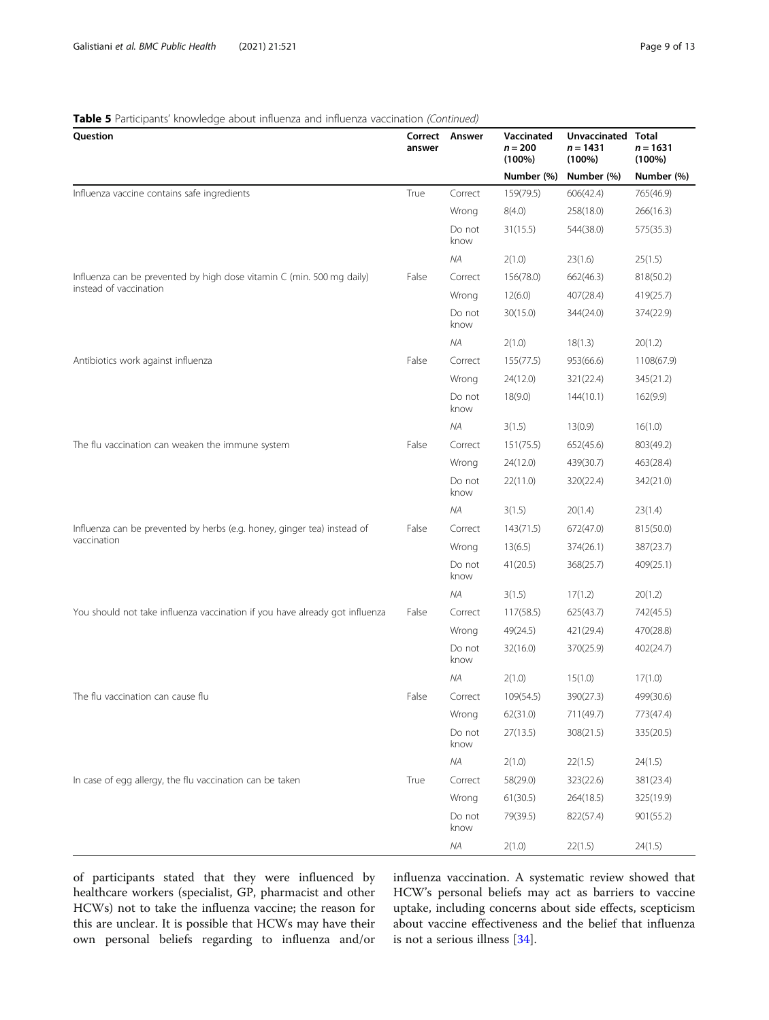## Table 5 Participants' knowledge about influenza and influenza vaccination (Continued)

| Question                                                                    | Correct<br>answer | Answer         | Vaccinated<br>$n = 200$<br>$(100\%)$ | Unvaccinated<br>$n = 1431$<br>$(100\%)$ | Total<br>$n = 1631$<br>$(100\%)$ |
|-----------------------------------------------------------------------------|-------------------|----------------|--------------------------------------|-----------------------------------------|----------------------------------|
|                                                                             |                   |                | Number (%)                           | Number (%)                              | Number (%)                       |
| Influenza vaccine contains safe ingredients                                 | True              | Correct        | 159(79.5)                            | 606(42.4)                               | 765(46.9)                        |
|                                                                             |                   | Wrong          | 8(4.0)                               | 258(18.0)                               | 266(16.3)                        |
|                                                                             |                   | Do not<br>know | 31(15.5)                             | 544(38.0)                               | 575(35.3)                        |
|                                                                             |                   | ΝA             | 2(1.0)                               | 23(1.6)                                 | 25(1.5)                          |
| Influenza can be prevented by high dose vitamin C (min. 500 mg daily)       | False             | Correct        | 156(78.0)                            | 662(46.3)                               | 818(50.2)                        |
| instead of vaccination                                                      |                   | Wrong          | 12(6.0)                              | 407(28.4)                               | 419(25.7)                        |
|                                                                             |                   | Do not<br>know | 30(15.0)                             | 344(24.0)                               | 374(22.9)                        |
|                                                                             |                   | ΝA             | 2(1.0)                               | 18(1.3)                                 | 20(1.2)                          |
| Antibiotics work against influenza                                          | False             | Correct        | 155(77.5)                            | 953(66.6)                               | 1108(67.9)                       |
|                                                                             |                   | Wrong          | 24(12.0)                             | 321(22.4)                               | 345(21.2)                        |
|                                                                             |                   | Do not<br>know | 18(9.0)                              | 144(10.1)                               | 162(9.9)                         |
|                                                                             |                   | ΝA             | 3(1.5)                               | 13(0.9)                                 | 16(1.0)                          |
| The flu vaccination can weaken the immune system                            | False             | Correct        | 151(75.5)                            | 652(45.6)                               | 803(49.2)                        |
|                                                                             |                   | Wrong          | 24(12.0)                             | 439(30.7)                               | 463(28.4)                        |
|                                                                             |                   | Do not<br>know | 22(11.0)                             | 320(22.4)                               | 342(21.0)                        |
|                                                                             |                   | ΝA             | 3(1.5)                               | 20(1.4)                                 | 23(1.4)                          |
| Influenza can be prevented by herbs (e.g. honey, ginger tea) instead of     | False             | Correct        | 143(71.5)                            | 672(47.0)                               | 815(50.0)                        |
| vaccination                                                                 |                   | Wrong          | 13(6.5)                              | 374(26.1)                               | 387(23.7)                        |
|                                                                             |                   | Do not<br>know | 41(20.5)                             | 368(25.7)                               | 409(25.1)                        |
|                                                                             |                   | ΝA             | 3(1.5)                               | 17(1.2)                                 | 20(1.2)                          |
| You should not take influenza vaccination if you have already got influenza | False             | Correct        | 117(58.5)                            | 625(43.7)                               | 742(45.5)                        |
|                                                                             |                   | Wrong          | 49(24.5)                             | 421(29.4)                               | 470(28.8)                        |
|                                                                             |                   | Do not<br>know | 32(16.0)                             | 370(25.9)                               | 402(24.7)                        |
|                                                                             |                   | ΝA             | 2(1.0)                               | 15(1.0)                                 | 17(1.0)                          |
| The flu vaccination can cause flu                                           | False             | Correct        | 109(54.5)                            | 390(27.3)                               | 499(30.6)                        |
|                                                                             |                   | Wrong          | 62(31.0)                             | 711(49.7)                               | 773(47.4)                        |
|                                                                             |                   | Do not<br>know | 27(13.5)                             | 308(21.5)                               | 335(20.5)                        |
|                                                                             |                   | $N\!A$         | 2(1.0)                               | 22(1.5)                                 | 24(1.5)                          |
| In case of egg allergy, the flu vaccination can be taken                    | True              | Correct        | 58(29.0)                             | 323(22.6)                               | 381(23.4)                        |
|                                                                             |                   | Wrong          | 61(30.5)                             | 264(18.5)                               | 325(19.9)                        |
|                                                                             |                   | Do not<br>know | 79(39.5)                             | 822(57.4)                               | 901(55.2)                        |
|                                                                             |                   | ΝA             | 2(1.0)                               | 22(1.5)                                 | 24(1.5)                          |

of participants stated that they were influenced by healthcare workers (specialist, GP, pharmacist and other HCWs) not to take the influenza vaccine; the reason for this are unclear. It is possible that HCWs may have their own personal beliefs regarding to influenza and/or influenza vaccination. A systematic review showed that HCW's personal beliefs may act as barriers to vaccine uptake, including concerns about side effects, scepticism about vaccine effectiveness and the belief that influenza is not a serious illness [[34\]](#page-12-0).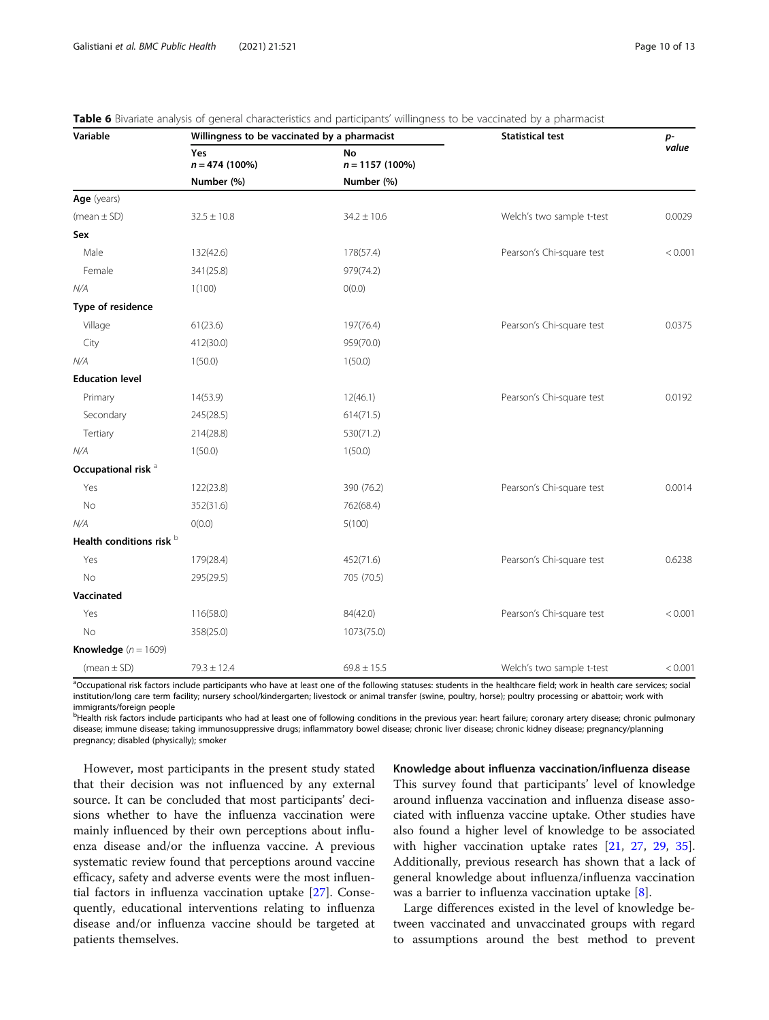| Variable                       | Willingness to be vaccinated by a pharmacist |                                | <b>Statistical test</b>   | p-      |
|--------------------------------|----------------------------------------------|--------------------------------|---------------------------|---------|
|                                | Yes<br>$n = 474(100\%)$                      | <b>No</b><br>$n = 1157(100\%)$ |                           | value   |
|                                | Number (%)                                   | Number (%)                     |                           |         |
| Age (years)                    |                                              |                                |                           |         |
| (mean $\pm$ SD)                | $32.5 \pm 10.8$                              | $34.2 \pm 10.6$                | Welch's two sample t-test | 0.0029  |
| Sex                            |                                              |                                |                           |         |
| Male                           | 132(42.6)                                    | 178(57.4)                      | Pearson's Chi-square test | < 0.001 |
| Female                         | 341(25.8)                                    | 979(74.2)                      |                           |         |
| N/A                            | 1(100)                                       | O(0.0)                         |                           |         |
| Type of residence              |                                              |                                |                           |         |
| Village                        | 61(23.6)                                     | 197(76.4)                      | Pearson's Chi-square test | 0.0375  |
| City                           | 412(30.0)                                    | 959(70.0)                      |                           |         |
| N/A                            | 1(50.0)                                      | 1(50.0)                        |                           |         |
| <b>Education level</b>         |                                              |                                |                           |         |
| Primary                        | 14(53.9)                                     | 12(46.1)                       | Pearson's Chi-square test | 0.0192  |
| Secondary                      | 245(28.5)                                    | 614(71.5)                      |                           |         |
| Tertiary                       | 214(28.8)                                    | 530(71.2)                      |                           |         |
| N/A                            | 1(50.0)                                      | 1(50.0)                        |                           |         |
| Occupational risk <sup>a</sup> |                                              |                                |                           |         |
| Yes                            | 122(23.8)                                    | 390 (76.2)                     | Pearson's Chi-square test | 0.0014  |
| No                             | 352(31.6)                                    | 762(68.4)                      |                           |         |
| N/A                            | O(0.0)                                       | 5(100)                         |                           |         |
| Health conditions risk b       |                                              |                                |                           |         |
| Yes                            | 179(28.4)                                    | 452(71.6)                      | Pearson's Chi-square test | 0.6238  |
| No                             | 295(29.5)                                    | 705 (70.5)                     |                           |         |
| Vaccinated                     |                                              |                                |                           |         |
| Yes                            | 116(58.0)                                    | 84(42.0)                       | Pearson's Chi-square test | < 0.001 |
| No                             | 358(25.0)                                    | 1073(75.0)                     |                           |         |
| Knowledge $(n = 1609)$         |                                              |                                |                           |         |
| (mean $\pm$ SD)                | $79.3 \pm 12.4$                              | $69.8 \pm 15.5$                | Welch's two sample t-test | < 0.001 |

<span id="page-9-0"></span>

| Table 6 Bivariate analysis of general characteristics and participants' willingness to be vaccinated by a pharmacist |  |  |  |  |  |
|----------------------------------------------------------------------------------------------------------------------|--|--|--|--|--|
|----------------------------------------------------------------------------------------------------------------------|--|--|--|--|--|

<sup>a</sup>Occupational risk factors include participants who have at least one of the following statuses: students in the healthcare field; work in health care services; social institution/long care term facility; nursery school/kindergarten; livestock or animal transfer (swine, poultry, horse); poultry processing or abattoir; work with immigrants/foreign people

b<br>Health risk factors include participants who had at least one of following conditions in the previous year: heart failure; coronary artery disease; chronic pulmonary disease; immune disease; taking immunosuppressive drugs; inflammatory bowel disease; chronic liver disease; chronic kidney disease; pregnancy/planning pregnancy; disabled (physically); smoker

However, most participants in the present study stated that their decision was not influenced by any external source. It can be concluded that most participants' decisions whether to have the influenza vaccination were mainly influenced by their own perceptions about influenza disease and/or the influenza vaccine. A previous systematic review found that perceptions around vaccine efficacy, safety and adverse events were the most influential factors in influenza vaccination uptake [[27](#page-11-0)]. Consequently, educational interventions relating to influenza disease and/or influenza vaccine should be targeted at patients themselves.

Knowledge about influenza vaccination/influenza disease This survey found that participants' level of knowledge around influenza vaccination and influenza disease associated with influenza vaccine uptake. Other studies have also found a higher level of knowledge to be associated with higher vaccination uptake rates [[21](#page-11-0), [27,](#page-11-0) [29,](#page-12-0) [35](#page-12-0)]. Additionally, previous research has shown that a lack of general knowledge about influenza/influenza vaccination was a barrier to influenza vaccination uptake [[8\]](#page-11-0).

Large differences existed in the level of knowledge between vaccinated and unvaccinated groups with regard to assumptions around the best method to prevent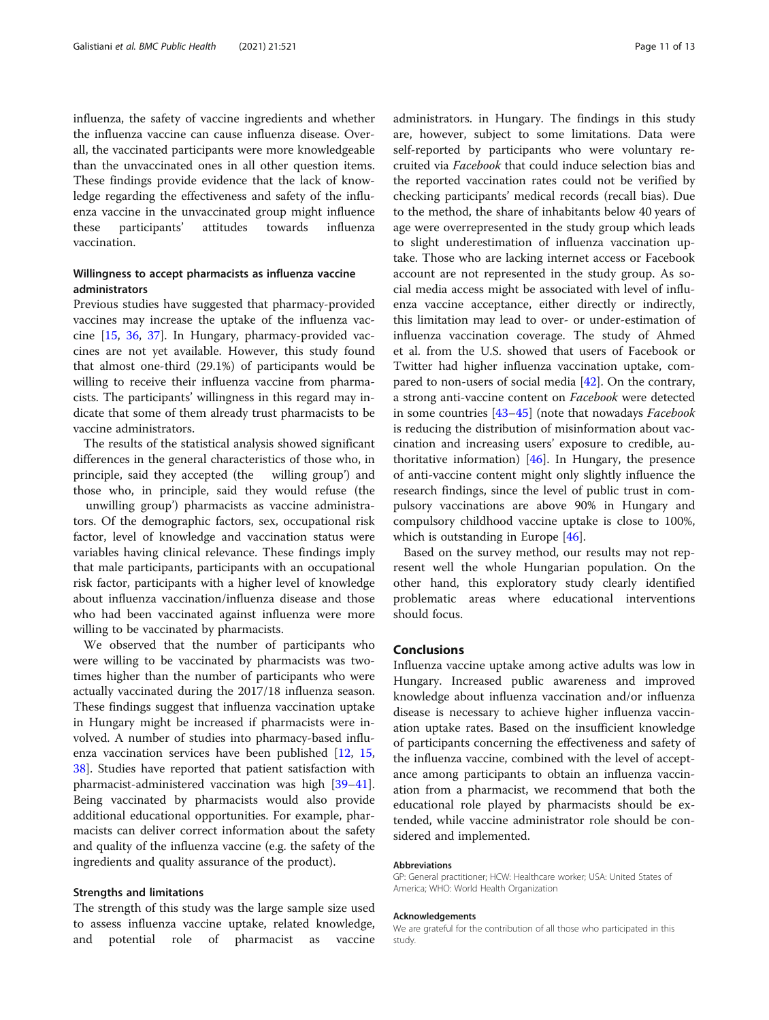influenza, the safety of vaccine ingredients and whether the influenza vaccine can cause influenza disease. Overall, the vaccinated participants were more knowledgeable than the unvaccinated ones in all other question items. These findings provide evidence that the lack of knowledge regarding the effectiveness and safety of the influenza vaccine in the unvaccinated group might influence these participants' attitudes towards influenza vaccination.

## Willingness to accept pharmacists as influenza vaccine administrators

Previous studies have suggested that pharmacy-provided vaccines may increase the uptake of the influenza vaccine [\[15](#page-11-0), [36,](#page-12-0) [37](#page-12-0)]. In Hungary, pharmacy-provided vaccines are not yet available. However, this study found that almost one-third (29.1%) of participants would be willing to receive their influenza vaccine from pharmacists. The participants' willingness in this regard may indicate that some of them already trust pharmacists to be vaccine administrators.

The results of the statistical analysis showed significant differences in the general characteristics of those who, in principle, said they accepted (the willing group') and those who, in principle, said they would refuse (the

unwilling group') pharmacists as vaccine administrators. Of the demographic factors, sex, occupational risk factor, level of knowledge and vaccination status were variables having clinical relevance. These findings imply that male participants, participants with an occupational risk factor, participants with a higher level of knowledge about influenza vaccination/influenza disease and those who had been vaccinated against influenza were more willing to be vaccinated by pharmacists.

We observed that the number of participants who were willing to be vaccinated by pharmacists was twotimes higher than the number of participants who were actually vaccinated during the 2017/18 influenza season. These findings suggest that influenza vaccination uptake in Hungary might be increased if pharmacists were involved. A number of studies into pharmacy-based influenza vaccination services have been published [[12,](#page-11-0) [15](#page-11-0), [38\]](#page-12-0). Studies have reported that patient satisfaction with pharmacist-administered vaccination was high [[39](#page-12-0)–[41](#page-12-0)]. Being vaccinated by pharmacists would also provide additional educational opportunities. For example, pharmacists can deliver correct information about the safety and quality of the influenza vaccine (e.g. the safety of the ingredients and quality assurance of the product).

#### Strengths and limitations

The strength of this study was the large sample size used to assess influenza vaccine uptake, related knowledge, and potential role of pharmacist as vaccine administrators. in Hungary. The findings in this study are, however, subject to some limitations. Data were self-reported by participants who were voluntary recruited via Facebook that could induce selection bias and the reported vaccination rates could not be verified by checking participants' medical records (recall bias). Due to the method, the share of inhabitants below 40 years of age were overrepresented in the study group which leads to slight underestimation of influenza vaccination uptake. Those who are lacking internet access or Facebook account are not represented in the study group. As social media access might be associated with level of influenza vaccine acceptance, either directly or indirectly, this limitation may lead to over- or under-estimation of influenza vaccination coverage. The study of Ahmed et al. from the U.S. showed that users of Facebook or Twitter had higher influenza vaccination uptake, compared to non-users of social media [\[42](#page-12-0)]. On the contrary, a strong anti-vaccine content on Facebook were detected in some countries  $[43-45]$  $[43-45]$  $[43-45]$  $[43-45]$  (note that nowadays *Facebook* is reducing the distribution of misinformation about vaccination and increasing users' exposure to credible, authoritative information)  $[46]$  $[46]$  $[46]$ . In Hungary, the presence of anti-vaccine content might only slightly influence the research findings, since the level of public trust in compulsory vaccinations are above 90% in Hungary and compulsory childhood vaccine uptake is close to 100%, which is outstanding in Europe [[46\]](#page-12-0).

Based on the survey method, our results may not represent well the whole Hungarian population. On the other hand, this exploratory study clearly identified problematic areas where educational interventions should focus.

## Conclusions

Influenza vaccine uptake among active adults was low in Hungary. Increased public awareness and improved knowledge about influenza vaccination and/or influenza disease is necessary to achieve higher influenza vaccination uptake rates. Based on the insufficient knowledge of participants concerning the effectiveness and safety of the influenza vaccine, combined with the level of acceptance among participants to obtain an influenza vaccination from a pharmacist, we recommend that both the educational role played by pharmacists should be extended, while vaccine administrator role should be considered and implemented.

#### Abbreviations

GP: General practitioner; HCW: Healthcare worker; USA: United States of America; WHO: World Health Organization

#### Acknowledgements

We are grateful for the contribution of all those who participated in this study.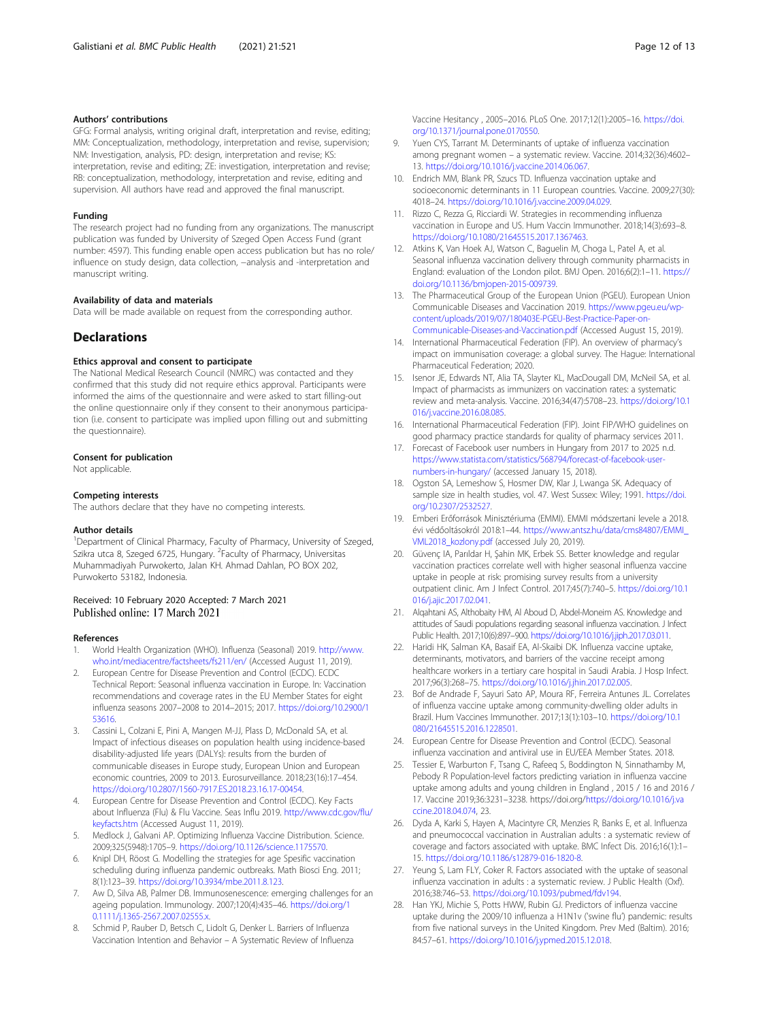#### <span id="page-11-0"></span>Authors' contributions

GFG: Formal analysis, writing original draft, interpretation and revise, editing; MM: Conceptualization, methodology, interpretation and revise, supervision; NM: Investigation, analysis, PD: design, interpretation and revise; KS: interpretation, revise and editing; ZE: investigation, interpretation and revise; RB: conceptualization, methodology, interpretation and revise, editing and supervision. All authors have read and approved the final manuscript.

#### Funding

The research project had no funding from any organizations. The manuscript publication was funded by University of Szeged Open Access Fund (grant number: 4597). This funding enable open access publication but has no role/ influence on study design, data collection, −analysis and -interpretation and manuscript writing.

#### Availability of data and materials

Data will be made available on request from the corresponding author.

## **Declarations**

#### Ethics approval and consent to participate

The National Medical Research Council (NMRC) was contacted and they confirmed that this study did not require ethics approval. Participants were informed the aims of the questionnaire and were asked to start filling-out the online questionnaire only if they consent to their anonymous participation (i.e. consent to participate was implied upon filling out and submitting the questionnaire).

#### Consent for publication

Not applicable.

#### Competing interests

The authors declare that they have no competing interests.

#### Author details

<sup>1</sup>Department of Clinical Pharmacy, Faculty of Pharmacy, University of Szeged, Szikra utca 8, Szeged 6725, Hungary. <sup>2</sup>Faculty of Pharmacy, Universitas Muhammadiyah Purwokerto, Jalan KH. Ahmad Dahlan, PO BOX 202, Purwokerto 53182, Indonesia.

# Received: 10 February 2020 Accepted: 7 March 2021<br>Published online: 17 March 2021

#### References

- 1. World Health Organization (WHO). Influenza (Seasonal) 2019. [http://www.](http://www.who.int/mediacentre/factsheets/fs211/en/) [who.int/mediacentre/factsheets/fs211/en/](http://www.who.int/mediacentre/factsheets/fs211/en/) (Accessed August 11, 2019).
- 2. European Centre for Disease Prevention and Control (ECDC). ECDC Technical Report: Seasonal influenza vaccination in Europe. In: Vaccination recommendations and coverage rates in the EU Member States for eight influenza seasons 2007–2008 to 2014–2015; 2017. [https://doi.org/10.2900/1](https://doi.org/10.2900/153616) [53616.](https://doi.org/10.2900/153616)
- 3. Cassini L, Colzani E, Pini A, Mangen M-JJ, Plass D, McDonald SA, et al. Impact of infectious diseases on population health using incidence-based disability-adjusted life years (DALYs): results from the burden of communicable diseases in Europe study, European Union and European economic countries, 2009 to 2013. Eurosurveillance. 2018;23(16):17–454. <https://doi.org/10.2807/1560-7917.ES.2018.23.16.17-00454>.
- 4. European Centre for Disease Prevention and Control (ECDC). Key Facts about Influenza (Flu) & Flu Vaccine. Seas Influ 2019. [http://www.cdc.gov/flu/](http://www.cdc.gov/flu/keyfacts.htm) [keyfacts.htm](http://www.cdc.gov/flu/keyfacts.htm) (Accessed August 11, 2019).
- Medlock J, Galvani AP. Optimizing Influenza Vaccine Distribution. Science. 2009;325(5948):1705–9. <https://doi.org/10.1126/science.1175570>.
- 6. Knipl DH, Röost G. Modelling the strategies for age Spesific vaccination scheduling during influenza pandemic outbreaks. Math Biosci Eng. 2011; 8(1):123–39. <https://doi.org/10.3934/mbe.2011.8.123>.
- Aw D, Silva AB, Palmer DB. Immunosenescence: emerging challenges for an ageing population. Immunology. 2007;120(4):435–46. [https://doi.org/1](https://doi.org/10.1111/j.1365-2567.2007.02555.x) [0.1111/j.1365-2567.2007.02555.x.](https://doi.org/10.1111/j.1365-2567.2007.02555.x)
- 8. Schmid P, Rauber D, Betsch C, Lidolt G, Denker L. Barriers of Influenza Vaccination Intention and Behavior – A Systematic Review of Influenza

Vaccine Hesitancy , 2005–2016. PLoS One. 2017;12(1):2005–16. [https://doi.](https://doi.org/10.1371/journal.pone.0170550) [org/10.1371/journal.pone.0170550.](https://doi.org/10.1371/journal.pone.0170550)

- 9. Yuen CYS, Tarrant M. Determinants of uptake of influenza vaccination among pregnant women – a systematic review. Vaccine. 2014;32(36):4602– 13. <https://doi.org/10.1016/j.vaccine.2014.06.067>.
- 10. Endrich MM, Blank PR, Szucs TD. Influenza vaccination uptake and socioeconomic determinants in 11 European countries. Vaccine. 2009;27(30): 4018–24. [https://doi.org/10.1016/j.vaccine.2009.04.029.](https://doi.org/10.1016/j.vaccine.2009.04.029)
- 11. Rizzo C, Rezza G, Ricciardi W. Strategies in recommending influenza vaccination in Europe and US. Hum Vaccin Immunother. 2018;14(3):693–8. <https://doi.org/10.1080/21645515.2017.1367463>.
- 12. Atkins K, Van Hoek AJ, Watson C, Baguelin M, Choga L, Patel A, et al. Seasonal influenza vaccination delivery through community pharmacists in England: evaluation of the London pilot. BMJ Open. 2016;6(2):1–11. [https://](https://doi.org/10.1136/bmjopen-2015-009739) [doi.org/10.1136/bmjopen-2015-009739.](https://doi.org/10.1136/bmjopen-2015-009739)
- 13. The Pharmaceutical Group of the European Union (PGEU). European Union Communicable Diseases and Vaccination 2019. [https://www.pgeu.eu/wp](https://www.pgeu.eu/wp-content/uploads/2019/07/180403E-PGEU-Best-Practice-Paper-on-Communicable-Diseases-and-Vaccination.pdf)[content/uploads/2019/07/180403E-PGEU-Best-Practice-Paper-on-](https://www.pgeu.eu/wp-content/uploads/2019/07/180403E-PGEU-Best-Practice-Paper-on-Communicable-Diseases-and-Vaccination.pdf)[Communicable-Diseases-and-Vaccination.pdf](https://www.pgeu.eu/wp-content/uploads/2019/07/180403E-PGEU-Best-Practice-Paper-on-Communicable-Diseases-and-Vaccination.pdf) (Accessed August 15, 2019).
- 14. International Pharmaceutical Federation (FIP). An overview of pharmacy's impact on immunisation coverage: a global survey. The Hague: International Pharmaceutical Federation; 2020.
- 15. Isenor JE, Edwards NT, Alia TA, Slayter KL, MacDougall DM, McNeil SA, et al. Impact of pharmacists as immunizers on vaccination rates: a systematic review and meta-analysis. Vaccine. 2016;34(47):5708–23. [https://doi.org/10.1](https://doi.org/10.1016/j.vaccine.2016.08.085) [016/j.vaccine.2016.08.085.](https://doi.org/10.1016/j.vaccine.2016.08.085)
- 16. International Pharmaceutical Federation (FIP). Joint FIP/WHO guidelines on good pharmacy practice standards for quality of pharmacy services 2011.
- 17. Forecast of Facebook user numbers in Hungary from 2017 to 2025 n.d. [https://www.statista.com/statistics/568794/forecast-of-facebook-user](https://www.statista.com/statistics/568794/forecast-of-facebook-user-numbers-in-hungary/)[numbers-in-hungary/](https://www.statista.com/statistics/568794/forecast-of-facebook-user-numbers-in-hungary/) (accessed January 15, 2018).
- 18. Ogston SA, Lemeshow S, Hosmer DW, Klar J, Lwanga SK. Adequacy of sample size in health studies, vol. 47. West Sussex: Wiley; 1991. [https://doi.](https://doi.org/10.2307/2532527) [org/10.2307/2532527.](https://doi.org/10.2307/2532527)
- 19. Emberi Erőforrások Minisztériuma (EMMI). EMMI módszertani levele a 2018. évi védőoltásokról 2018:1–44. [https://www.antsz.hu/data/cms84807/EMMI\\_](https://www.antsz.hu/data/cms84807/EMMI_VML2018_kozlony.pdf) [VML2018\\_kozlony.pdf](https://www.antsz.hu/data/cms84807/EMMI_VML2018_kozlony.pdf) (accessed July 20, 2019).
- 20. Güvenç IA, Parıldar H, Şahin MK, Erbek SS. Better knowledge and regular vaccination practices correlate well with higher seasonal influenza vaccine uptake in people at risk: promising survey results from a university outpatient clinic. Am J Infect Control. 2017;45(7):740–5. [https://doi.org/10.1](https://doi.org/10.1016/j.ajic.2017.02.041) [016/j.ajic.2017.02.041.](https://doi.org/10.1016/j.ajic.2017.02.041)
- 21. Alqahtani AS, Althobaity HM, Al Aboud D, Abdel-Moneim AS. Knowledge and attitudes of Saudi populations regarding seasonal influenza vaccination. J Infect Public Health. 2017;10(6):897–900. <https://doi.org/10.1016/j.jiph.2017.03.011>.
- 22. Haridi HK, Salman KA, Basaif EA, Al-Skaibi DK. Influenza vaccine uptake, determinants, motivators, and barriers of the vaccine receipt among healthcare workers in a tertiary care hospital in Saudi Arabia. J Hosp Infect. 2017;96(3):268–75. <https://doi.org/10.1016/j.jhin.2017.02.005>.
- 23. Bof de Andrade F, Sayuri Sato AP, Moura RF, Ferreira Antunes JL. Correlates of influenza vaccine uptake among community-dwelling older adults in Brazil. Hum Vaccines Immunother. 2017;13(1):103–10. [https://doi.org/10.1](https://doi.org/10.1080/21645515.2016.1228501) [080/21645515.2016.1228501.](https://doi.org/10.1080/21645515.2016.1228501)
- 24. European Centre for Disease Prevention and Control (ECDC). Seasonal influenza vaccination and antiviral use in EU/EEA Member States. 2018.
- 25. Tessier E, Warburton F, Tsang C, Rafeeq S, Boddington N, Sinnathamby M, Pebody R Population-level factors predicting variation in influenza vaccine uptake among adults and young children in England , 2015 / 16 and 2016 / 17. Vaccine 2019;36:3231–3238. https://doi.org/[https://doi.org/10.1016/j.va](https://doi.org/10.1016/j.vaccine.2018.04.074) [ccine.2018.04.074,](https://doi.org/10.1016/j.vaccine.2018.04.074) 23.
- 26. Dyda A, Karki S, Hayen A, Macintyre CR, Menzies R, Banks E, et al. Influenza and pneumococcal vaccination in Australian adults : a systematic review of coverage and factors associated with uptake. BMC Infect Dis. 2016;16(1):1– 15. <https://doi.org/10.1186/s12879-016-1820-8>.
- 27. Yeung S, Lam FLY, Coker R. Factors associated with the uptake of seasonal influenza vaccination in adults : a systematic review. J Public Health (Oxf). 2016;38:746–53. [https://doi.org/10.1093/pubmed/fdv194.](https://doi.org/10.1093/pubmed/fdv194)
- 28. Han YKJ, Michie S, Potts HWW, Rubin GJ. Predictors of influenza vaccine uptake during the 2009/10 influenza a H1N1v ('swine flu') pandemic: results from five national surveys in the United Kingdom. Prev Med (Baltim). 2016; 84:57–61. <https://doi.org/10.1016/j.ypmed.2015.12.018>.